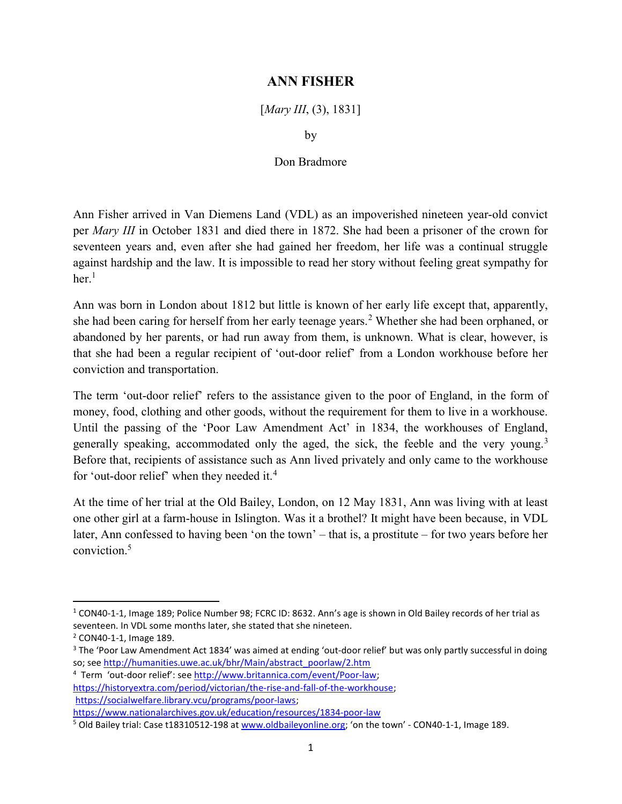## ANN FISHER

[*Mary III*, (3), 1831]

by

## Don Bradmore

Ann Fisher arrived in Van Diemens Land (VDL) as an impoverished nineteen year-old convict per Mary III in October 1831 and died there in 1872. She had been a prisoner of the crown for seventeen years and, even after she had gained her freedom, her life was a continual struggle against hardship and the law. It is impossible to read her story without feeling great sympathy for  $her<sup>1</sup>$ 

Ann was born in London about 1812 but little is known of her early life except that, apparently, she had been caring for herself from her early teenage years.<sup>2</sup> Whether she had been orphaned, or abandoned by her parents, or had run away from them, is unknown. What is clear, however, is that she had been a regular recipient of 'out-door relief' from a London workhouse before her conviction and transportation.

The term 'out-door relief' refers to the assistance given to the poor of England, in the form of money, food, clothing and other goods, without the requirement for them to live in a workhouse. Until the passing of the 'Poor Law Amendment Act' in 1834, the workhouses of England, generally speaking, accommodated only the aged, the sick, the feeble and the very young.<sup>3</sup> Before that, recipients of assistance such as Ann lived privately and only came to the workhouse for 'out-door relief' when they needed it.<sup>4</sup>

At the time of her trial at the Old Bailey, London, on 12 May 1831, Ann was living with at least one other girl at a farm-house in Islington. Was it a brothel? It might have been because, in VDL later, Ann confessed to having been 'on the town' – that is, a prostitute – for two years before her conviction<sup>5</sup>

<sup>&</sup>lt;sup>1</sup> CON40-1-1, Image 189; Police Number 98; FCRC ID: 8632. Ann's age is shown in Old Bailey records of her trial as seventeen. In VDL some months later, she stated that she nineteen.

<sup>2</sup> CON40-1-1, Image 189.

<sup>&</sup>lt;sup>3</sup> The 'Poor Law Amendment Act 1834' was aimed at ending 'out-door relief' but was only partly successful in doing so; see http://humanities.uwe.ac.uk/bhr/Main/abstract\_poorlaw/2.htm

<sup>&</sup>lt;sup>4</sup> Term 'out-door relief': see http://www.britannica.com/event/Poor-law; https://historyextra.com/period/victorian/the-rise-and-fall-of-the-workhouse; https://socialwelfare.library.vcu/programs/poor-laws; https://www.nationalarchives.gov.uk/education/resources/1834-poor-law

<sup>&</sup>lt;sup>5</sup> Old Bailey trial: Case t18310512-198 at www.oldbaileyonline.org; 'on the town' - CON40-1-1, Image 189.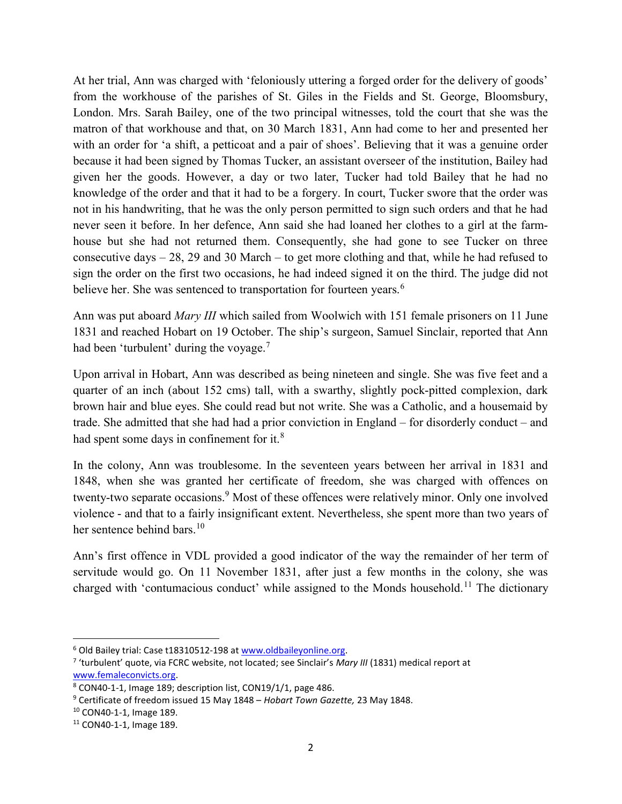At her trial, Ann was charged with 'feloniously uttering a forged order for the delivery of goods' from the workhouse of the parishes of St. Giles in the Fields and St. George, Bloomsbury, London. Mrs. Sarah Bailey, one of the two principal witnesses, told the court that she was the matron of that workhouse and that, on 30 March 1831, Ann had come to her and presented her with an order for 'a shift, a petticoat and a pair of shoes'. Believing that it was a genuine order because it had been signed by Thomas Tucker, an assistant overseer of the institution, Bailey had given her the goods. However, a day or two later, Tucker had told Bailey that he had no knowledge of the order and that it had to be a forgery. In court, Tucker swore that the order was not in his handwriting, that he was the only person permitted to sign such orders and that he had never seen it before. In her defence, Ann said she had loaned her clothes to a girl at the farmhouse but she had not returned them. Consequently, she had gone to see Tucker on three consecutive days – 28, 29 and 30 March – to get more clothing and that, while he had refused to sign the order on the first two occasions, he had indeed signed it on the third. The judge did not believe her. She was sentenced to transportation for fourteen years.<sup>6</sup>

Ann was put aboard *Mary III* which sailed from Woolwich with 151 female prisoners on 11 June 1831 and reached Hobart on 19 October. The ship's surgeon, Samuel Sinclair, reported that Ann had been 'turbulent' during the voyage.<sup>7</sup>

Upon arrival in Hobart, Ann was described as being nineteen and single. She was five feet and a quarter of an inch (about 152 cms) tall, with a swarthy, slightly pock-pitted complexion, dark brown hair and blue eyes. She could read but not write. She was a Catholic, and a housemaid by trade. She admitted that she had had a prior conviction in England – for disorderly conduct – and had spent some days in confinement for it.<sup>8</sup>

In the colony, Ann was troublesome. In the seventeen years between her arrival in 1831 and 1848, when she was granted her certificate of freedom, she was charged with offences on twenty-two separate occasions.<sup>9</sup> Most of these offences were relatively minor. Only one involved violence - and that to a fairly insignificant extent. Nevertheless, she spent more than two years of her sentence behind bars.<sup>10</sup>

Ann's first offence in VDL provided a good indicator of the way the remainder of her term of servitude would go. On 11 November 1831, after just a few months in the colony, she was charged with 'contumacious conduct' while assigned to the Monds household.<sup>11</sup> The dictionary

 $\overline{a}$ 

<sup>&</sup>lt;sup>6</sup> Old Bailey trial: Case t18310512-198 at www.oldbaileyonline.org.

<sup>&</sup>lt;sup>7</sup> 'turbulent' quote, via FCRC website, not located; see Sinclair's Mary III (1831) medical report at www.femaleconvicts.org.

<sup>8</sup> CON40-1-1, Image 189; description list, CON19/1/1, page 486.

<sup>&</sup>lt;sup>9</sup> Certificate of freedom issued 15 May 1848 – Hobart Town Gazette, 23 May 1848.

<sup>10</sup> CON40-1-1, Image 189.

<sup>11</sup> CON40-1-1, Image 189.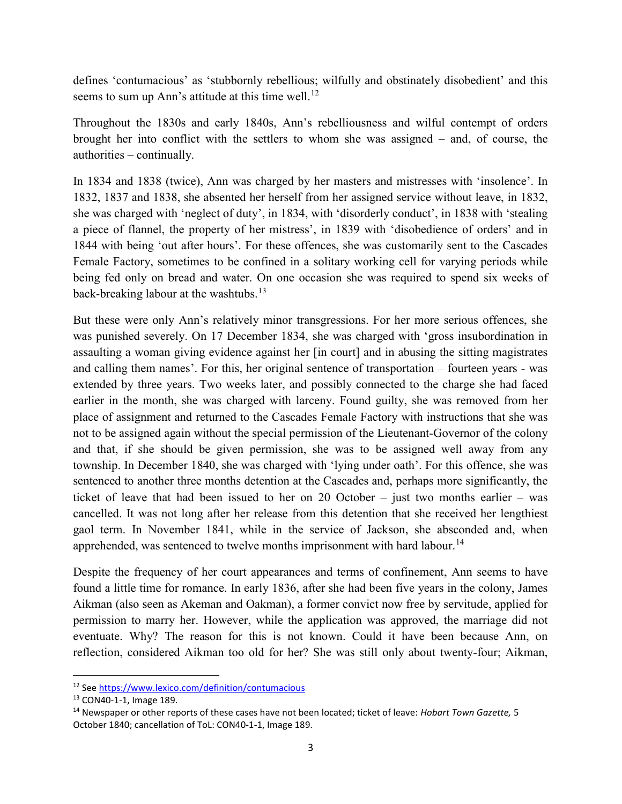defines 'contumacious' as 'stubbornly rebellious; wilfully and obstinately disobedient' and this seems to sum up Ann's attitude at this time well.<sup>12</sup>

Throughout the 1830s and early 1840s, Ann's rebelliousness and wilful contempt of orders brought her into conflict with the settlers to whom she was assigned – and, of course, the authorities – continually.

In 1834 and 1838 (twice), Ann was charged by her masters and mistresses with 'insolence'. In 1832, 1837 and 1838, she absented her herself from her assigned service without leave, in 1832, she was charged with 'neglect of duty', in 1834, with 'disorderly conduct', in 1838 with 'stealing a piece of flannel, the property of her mistress', in 1839 with 'disobedience of orders' and in 1844 with being 'out after hours'. For these offences, she was customarily sent to the Cascades Female Factory, sometimes to be confined in a solitary working cell for varying periods while being fed only on bread and water. On one occasion she was required to spend six weeks of back-breaking labour at the washtubs.<sup>13</sup>

But these were only Ann's relatively minor transgressions. For her more serious offences, she was punished severely. On 17 December 1834, she was charged with 'gross insubordination in assaulting a woman giving evidence against her [in court] and in abusing the sitting magistrates and calling them names'. For this, her original sentence of transportation – fourteen years - was extended by three years. Two weeks later, and possibly connected to the charge she had faced earlier in the month, she was charged with larceny. Found guilty, she was removed from her place of assignment and returned to the Cascades Female Factory with instructions that she was not to be assigned again without the special permission of the Lieutenant-Governor of the colony and that, if she should be given permission, she was to be assigned well away from any township. In December 1840, she was charged with 'lying under oath'. For this offence, she was sentenced to another three months detention at the Cascades and, perhaps more significantly, the ticket of leave that had been issued to her on 20 October – just two months earlier – was cancelled. It was not long after her release from this detention that she received her lengthiest gaol term. In November 1841, while in the service of Jackson, she absconded and, when apprehended, was sentenced to twelve months imprisonment with hard labour.<sup>14</sup>

Despite the frequency of her court appearances and terms of confinement, Ann seems to have found a little time for romance. In early 1836, after she had been five years in the colony, James Aikman (also seen as Akeman and Oakman), a former convict now free by servitude, applied for permission to marry her. However, while the application was approved, the marriage did not eventuate. Why? The reason for this is not known. Could it have been because Ann, on reflection, considered Aikman too old for her? She was still only about twenty-four; Aikman,

<sup>12</sup> See https://www.lexico.com/definition/contumacious

<sup>13</sup> CON40-1-1, Image 189.

<sup>&</sup>lt;sup>14</sup> Newspaper or other reports of these cases have not been located; ticket of leave: Hobart Town Gazette, 5 October 1840; cancellation of ToL: CON40-1-1, Image 189.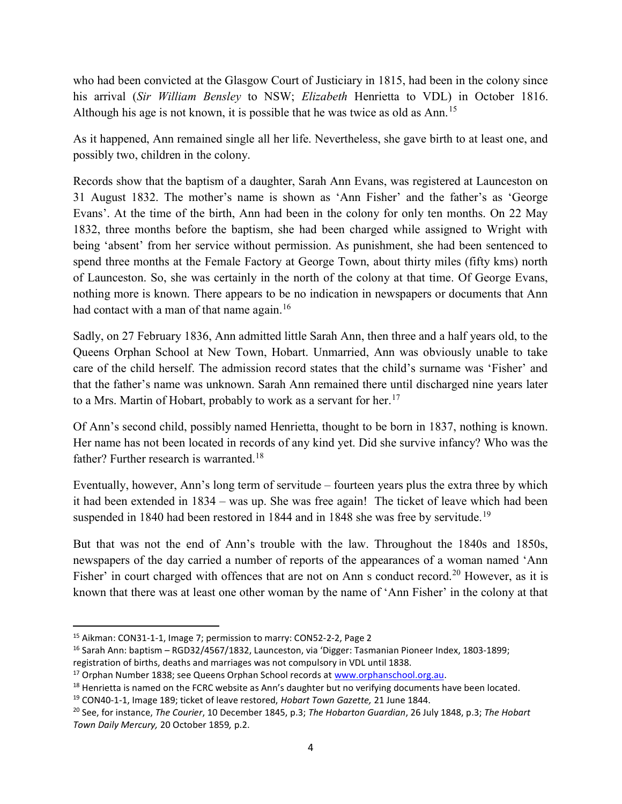who had been convicted at the Glasgow Court of Justiciary in 1815, had been in the colony since his arrival (Sir William Bensley to NSW; Elizabeth Henrietta to VDL) in October 1816. Although his age is not known, it is possible that he was twice as old as Ann.<sup>15</sup>

As it happened, Ann remained single all her life. Nevertheless, she gave birth to at least one, and possibly two, children in the colony.

Records show that the baptism of a daughter, Sarah Ann Evans, was registered at Launceston on 31 August 1832. The mother's name is shown as 'Ann Fisher' and the father's as 'George Evans'. At the time of the birth, Ann had been in the colony for only ten months. On 22 May 1832, three months before the baptism, she had been charged while assigned to Wright with being 'absent' from her service without permission. As punishment, she had been sentenced to spend three months at the Female Factory at George Town, about thirty miles (fifty kms) north of Launceston. So, she was certainly in the north of the colony at that time. Of George Evans, nothing more is known. There appears to be no indication in newspapers or documents that Ann had contact with a man of that name again.<sup>16</sup>

Sadly, on 27 February 1836, Ann admitted little Sarah Ann, then three and a half years old, to the Queens Orphan School at New Town, Hobart. Unmarried, Ann was obviously unable to take care of the child herself. The admission record states that the child's surname was 'Fisher' and that the father's name was unknown. Sarah Ann remained there until discharged nine years later to a Mrs. Martin of Hobart, probably to work as a servant for her.<sup>17</sup>

Of Ann's second child, possibly named Henrietta, thought to be born in 1837, nothing is known. Her name has not been located in records of any kind yet. Did she survive infancy? Who was the father? Further research is warranted.<sup>18</sup>

Eventually, however, Ann's long term of servitude – fourteen years plus the extra three by which it had been extended in 1834 – was up. She was free again! The ticket of leave which had been suspended in 1840 had been restored in 1844 and in 1848 she was free by servitude.<sup>19</sup>

But that was not the end of Ann's trouble with the law. Throughout the 1840s and 1850s, newspapers of the day carried a number of reports of the appearances of a woman named 'Ann Fisher' in court charged with offences that are not on Ann s conduct record.<sup>20</sup> However, as it is known that there was at least one other woman by the name of 'Ann Fisher' in the colony at that

<sup>15</sup> Aikman: CON31-1-1, Image 7; permission to marry: CON52-2-2, Page 2

<sup>16</sup> Sarah Ann: baptism – RGD32/4567/1832, Launceston, via 'Digger: Tasmanian Pioneer Index, 1803-1899; registration of births, deaths and marriages was not compulsory in VDL until 1838.

<sup>&</sup>lt;sup>17</sup> Orphan Number 1838; see Queens Orphan School records at www.orphanschool.org.au.

 $18$  Henrietta is named on the FCRC website as Ann's daughter but no verifying documents have been located.

<sup>&</sup>lt;sup>19</sup> CON40-1-1, Image 189; ticket of leave restored, Hobart Town Gazette, 21 June 1844.

<sup>&</sup>lt;sup>20</sup> See, for instance, The Courier, 10 December 1845, p.3; The Hobarton Guardian, 26 July 1848, p.3; The Hobart Town Daily Mercury, 20 October 1859, p.2.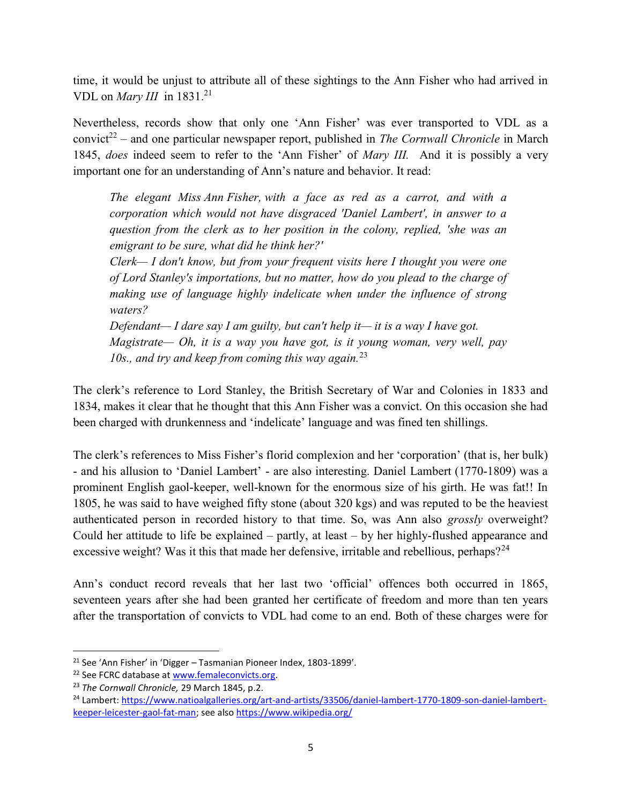time, it would be unjust to attribute all of these sightings to the Ann Fisher who had arrived in VDL on *Mary III* in  $1831.<sup>21</sup>$ 

Nevertheless, records show that only one 'Ann Fisher' was ever transported to VDL as a convict<sup>22</sup> – and one particular newspaper report, published in *The Cornwall Chronicle* in March 1845, does indeed seem to refer to the 'Ann Fisher' of Mary III. And it is possibly a very important one for an understanding of Ann's nature and behavior. It read:

The elegant Miss Ann Fisher, with a face as red as a carrot, and with a corporation which would not have disgraced 'Daniel Lambert', in answer to a question from the clerk as to her position in the colony, replied, 'she was an emigrant to be sure, what did he think her?'

Clerk— I don't know, but from your frequent visits here I thought you were one of Lord Stanley's importations, but no matter, how do you plead to the charge of making use of language highly indelicate when under the influence of strong waters?

Defendant— I dare say I am guilty, but can't help it— it is a way I have got. Magistrate— Oh, it is a way you have got, is it young woman, very well, pay 10s., and try and keep from coming this way again.<sup>23</sup>

The clerk's reference to Lord Stanley, the British Secretary of War and Colonies in 1833 and 1834, makes it clear that he thought that this Ann Fisher was a convict. On this occasion she had been charged with drunkenness and 'indelicate' language and was fined ten shillings.

The clerk's references to Miss Fisher's florid complexion and her 'corporation' (that is, her bulk) - and his allusion to 'Daniel Lambert' - are also interesting. Daniel Lambert (1770-1809) was a prominent English gaol-keeper, well-known for the enormous size of his girth. He was fat!! In 1805, he was said to have weighed fifty stone (about 320 kgs) and was reputed to be the heaviest authenticated person in recorded history to that time. So, was Ann also grossly overweight? Could her attitude to life be explained – partly, at least – by her highly-flushed appearance and excessive weight? Was it this that made her defensive, irritable and rebellious, perhaps?<sup>24</sup>

Ann's conduct record reveals that her last two 'official' offences both occurred in 1865, seventeen years after she had been granted her certificate of freedom and more than ten years after the transportation of convicts to VDL had come to an end. Both of these charges were for

<sup>21</sup> See 'Ann Fisher' in 'Digger – Tasmanian Pioneer Index, 1803-1899'.

<sup>&</sup>lt;sup>22</sup> See FCRC database at www.femaleconvicts.org.

<sup>&</sup>lt;sup>23</sup> The Cornwall Chronicle, 29 March 1845, p.2.

<sup>24</sup> Lambert: https://www.natioalgalleries.org/art-and-artists/33506/daniel-lambert-1770-1809-son-daniel-lambertkeeper-leicester-gaol-fat-man; see also https://www.wikipedia.org/